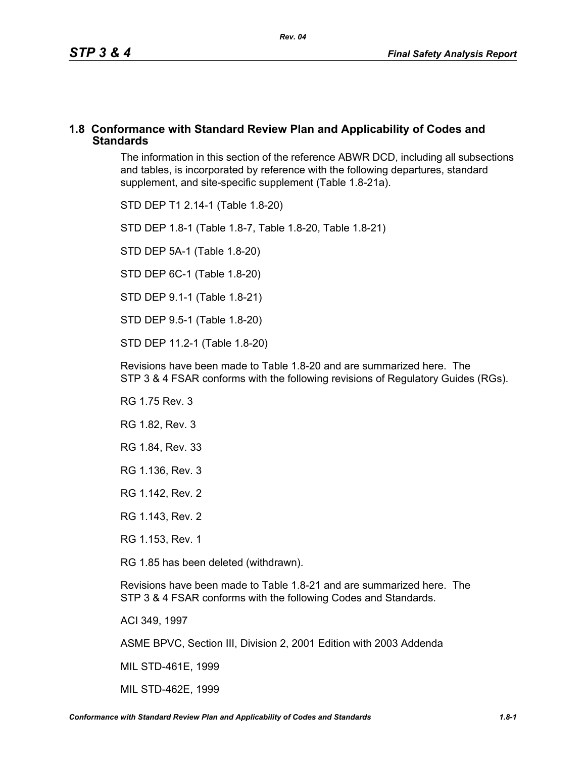#### **1.8 Conformance with Standard Review Plan and Applicability of Codes and Standards**

The information in this section of the reference ABWR DCD, including all subsections and tables, is incorporated by reference with the following departures, standard supplement, and site-specific supplement (Table 1.8-21a).

STD DEP T1 2.14-1 (Table 1.8-20)

STD DEP 1.8-1 (Table 1.8-7, Table [1.8-20,](#page-2-0) Table [1.8-21\)](#page-4-0)

STD DEP 5A-1 (Table 1.8-20)

STD DEP 6C-1 (Table [1.8-20\)](#page-2-0)

STD DEP 9.1-1 (Table 1.8-21)

STD DEP 9.5-1 (Table 1.8-20)

STD DEP 11.2-1 (Table [1.8-20](#page-2-0))

Revisions have been made to Table [1.8-20](#page-2-0) and are summarized here. The STP 3 & 4 FSAR conforms with the following revisions of Regulatory Guides (RGs).

RG 1.75 Rev. 3

RG 1.82, Rev. 3

RG 1.84, Rev. 33

RG 1.136, Rev. 3

RG 1.142, Rev. 2

RG 1.143, Rev. 2

RG 1.153, Rev. 1

RG 1.85 has been deleted (withdrawn).

Revisions have been made to Table [1.8-21](#page-4-0) and are summarized here. The STP 3 & 4 FSAR conforms with the following Codes and Standards.

ACI 349, 1997

ASME BPVC, Section III, Division 2, 2001 Edition with 2003 Addenda

MIL STD-461E, 1999

MIL STD-462E, 1999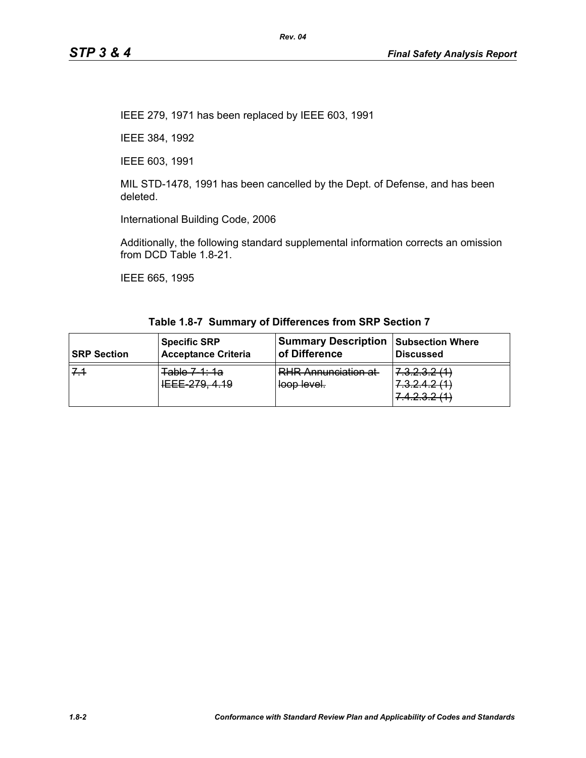IEEE 279, 1971 has been replaced by IEEE 603, 1991

IEEE 384, 1992

IEEE 603, 1991

MIL STD-1478, 1991 has been cancelled by the Dept. of Defense, and has been deleted.

International Building Code, 2006

Additionally, the following standard supplemental information corrects an omission from DCD Table 1.8-21.

IEEE 665, 1995

| <b>SRP Section</b> | <b>Specific SRP</b>                        | <b>Summary Description</b>                | <b>Subsection Where</b>                                                                                         |
|--------------------|--------------------------------------------|-------------------------------------------|-----------------------------------------------------------------------------------------------------------------|
|                    | <b>Acceptance Criteria</b>                 | of Difference                             | <b>Discussed</b>                                                                                                |
|                    | Table 7 1: 1a<br><del>IEEE 210, 4.10</del> | <b>RHR Annunciation at</b><br>loop level. | 7222011)<br>7. <del>.</del><br>7 2 2 1 2 11 1<br><del>1.0.2.4.2 (1)</del><br>7172011<br><del>1.4.2.0.2 HT</del> |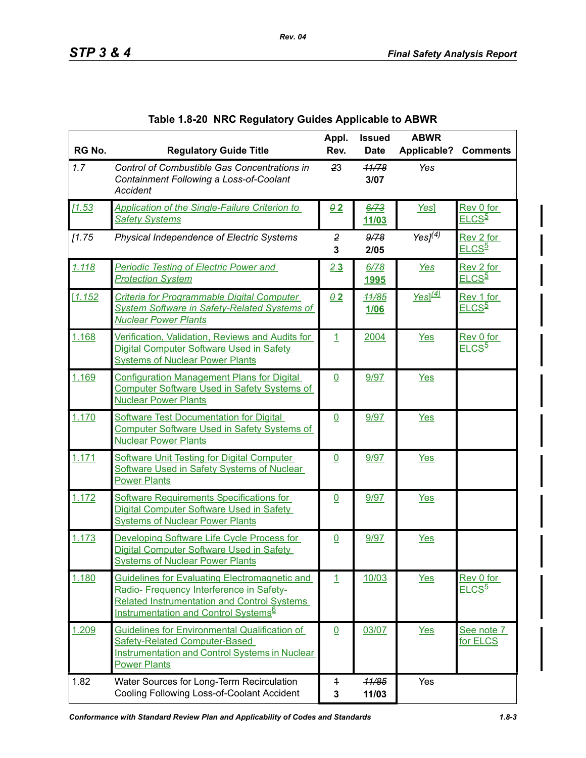<span id="page-2-0"></span>

| RG No. | <b>Regulatory Guide Title</b>                                                                                                                                                                       | Appl.<br>Rev.                  | <b>Issued</b><br><b>Date</b> | <b>ABWR</b><br><b>Applicable?</b> | <b>Comments</b>                |
|--------|-----------------------------------------------------------------------------------------------------------------------------------------------------------------------------------------------------|--------------------------------|------------------------------|-----------------------------------|--------------------------------|
| 1.7    | Control of Combustible Gas Concentrations in<br>Containment Following a Loss-of-Coolant<br><b>Accident</b>                                                                                          | 23                             | 11/78<br>3/07                | Yes                               |                                |
| 11.53  | <b>Application of the Single-Failure Criterion to</b><br><b>Safety Systems</b>                                                                                                                      | $Q_2$                          | 6/73<br>11/03                | Yes]                              | Rev 0 for<br>ELCS <sup>5</sup> |
| [1.75] | Physical Independence of Electric Systems                                                                                                                                                           | $\overline{2}$<br>3            | 9/78<br>2/05                 | Yes $J(4)$                        | Rev 2 for<br>ELCS <sup>5</sup> |
| 1.118  | <b>Periodic Testing of Electric Power and</b><br><b>Protection System</b>                                                                                                                           | 23                             | 6/78<br><u>1995</u>          | Yes                               | Rev 2 for<br>ELCS <sup>5</sup> |
| 1.152  | Criteria for Programmable Digital Computer<br><b>System Software in Safety-Related Systems of</b><br><b>Nuclear Power Plants</b>                                                                    | $Q_2$                          | 11/85<br><b>1/06</b>         | $Yes]^{(4)}$                      | Rev 1 for<br><u>ELCS5</u>      |
| 1.168  | Verification, Validation, Reviews and Audits for<br>Digital Computer Software Used in Safety<br><b>Systems of Nuclear Power Plants</b>                                                              | $\overline{1}$                 | 2004                         | Yes                               | Rev 0 for<br>ELCS <sup>5</sup> |
| 1.169  | <b>Configuration Management Plans for Digital</b><br><b>Computer Software Used in Safety Systems of</b><br><b>Nuclear Power Plants</b>                                                              | $\overline{0}$                 | 9/97                         | <b>Yes</b>                        |                                |
| 1.170  | <b>Software Test Documentation for Digital</b><br><b>Computer Software Used in Safety Systems of</b><br><b>Nuclear Power Plants</b>                                                                 | $\underline{0}$                | 9/97                         | <b>Yes</b>                        |                                |
| 1.171  | <b>Software Unit Testing for Digital Computer</b><br>Software Used in Safety Systems of Nuclear<br><b>Power Plants</b>                                                                              | $\overline{0}$                 | 9/97                         | <b>Yes</b>                        |                                |
| 1.172  | Software Requirements Specifications for<br>Digital Computer Software Used in Safety<br><b>Systems of Nuclear Power Plants</b>                                                                      | $\underline{0}$                | 9/97                         | <b>Yes</b>                        |                                |
| 1.173  | Developing Software Life Cycle Process for<br>Digital Computer Software Used in Safety<br><b>Systems of Nuclear Power Plants</b>                                                                    | $\overline{0}$                 | 9/97                         | <b>Yes</b>                        |                                |
| 1.180  | Guidelines for Evaluating Electromagnetic and<br>Radio- Frequency Interference in Safety-<br><b>Related Instrumentation and Control Systems</b><br>Instrumentation and Control Systems <sup>6</sup> | 1                              | 10/03                        | <u>Yes</u>                        | Rev 0 for<br>ELCS <sup>5</sup> |
| 1.209  | Guidelines for Environmental Qualification of<br><b>Safety-Related Computer-Based</b><br><b>Instrumentation and Control Systems in Nuclear</b><br><b>Power Plants</b>                               | $\overline{0}$                 | 03/07                        | Yes                               | See note 7<br>for ELCS         |
| 1.82   | Water Sources for Long-Term Recirculation<br>Cooling Following Loss-of-Coolant Accident                                                                                                             | $\overline{1}$<br>$\mathbf{3}$ | 11/85<br>11/03               | Yes                               |                                |

*Rev. 04*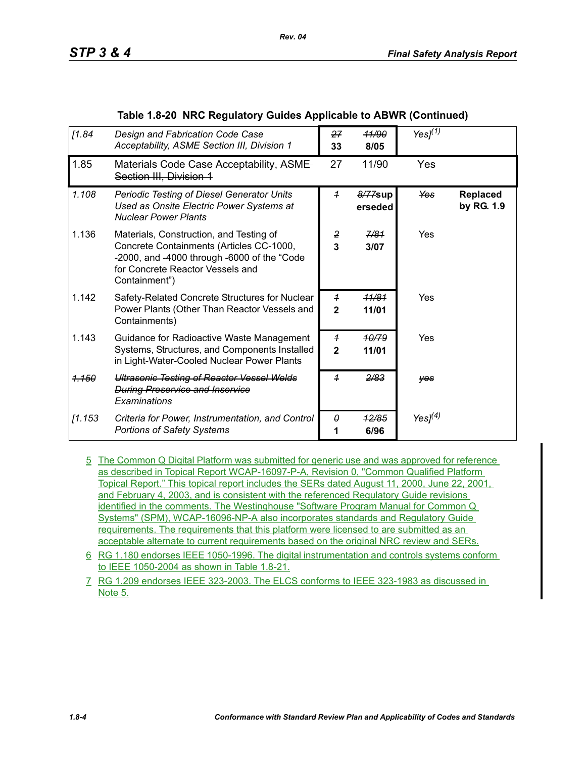| [1.84]         | Design and Fabrication Code Case<br>Acceptability, ASME Section III, Division 1                                                                                                         | 27<br>33                                | <b>11/90</b><br>8/05      | Yes $J(1)$ |                        |
|----------------|-----------------------------------------------------------------------------------------------------------------------------------------------------------------------------------------|-----------------------------------------|---------------------------|------------|------------------------|
| 4.85           | Materials Code Case Acceptability, ASME-<br>Section III, Division 1                                                                                                                     | 27                                      | 44/90                     | <b>Yes</b> |                        |
| 1.108          | <b>Periodic Testing of Diesel Generator Units</b><br>Used as Onsite Electric Power Systems at<br><b>Nuclear Power Plants</b>                                                            | $\overline{1}$                          | 8/77sup<br>erseded        | Yes        | Replaced<br>by RG. 1.9 |
| 1.136          | Materials, Construction, and Testing of<br>Concrete Containments (Articles CC-1000,<br>-2000, and -4000 through -6000 of the "Code<br>for Concrete Reactor Vessels and<br>Containment") | 2<br>3                                  | 7/81<br>3/07              | Yes        |                        |
| 1.142          | Safety-Related Concrete Structures for Nuclear<br>Power Plants (Other Than Reactor Vessels and<br>Containments)                                                                         | $\overline{1}$<br>$\mathbf{2}$          | <del>11/81</del><br>11/01 | Yes        |                        |
| 1.143          | Guidance for Radioactive Waste Management<br>Systems, Structures, and Components Installed<br>in Light-Water-Cooled Nuclear Power Plants                                                | $\overline{\mathbf{f}}$<br>$\mathbf{2}$ | 10/79<br>11/01            | Yes        |                        |
| <u> 1.150 </u> | <b>Ultrasonic Testing of Reactor Vessel Welds</b><br><b>During Preservice and Inservice</b><br>Examinations                                                                             | $\overline{1}$                          | 2/83                      | yes        |                        |
| [1.153         | Criteria for Power, Instrumentation, and Control<br><b>Portions of Safety Systems</b>                                                                                                   | 0                                       | 12/85<br>6/96             | Yes $I(4)$ |                        |

#### **Table 1.8-20 NRC Regulatory Guides Applicable to ABWR (Continued)**

*Rev. 04*

- 5 The Common Q Digital Platform was submitted for generic use and was approved for reference as described in Topical Report WCAP-16097-P-A, Revision 0, "Common Qualified Platform Topical Report." This topical report includes the SERs dated August 11, 2000, June 22, 2001, and February 4, 2003, and is consistent with the referenced Regulatory Guide revisions identified in the comments. The Westinghouse "Software Program Manual for Common Q Systems" (SPM), WCAP-16096-NP-A also incorporates standards and Regulatory Guide requirements. The requirements that this platform were licensed to are submitted as an acceptable alternate to current requirements based on the original NRC review and SERs.
- 6 RG 1.180 endorses IEEE 1050-1996. The digital instrumentation and controls systems conform to IEEE 1050-2004 as shown in Table 1.8-21.
- 7 RG 1.209 endorses IEEE 323-2003. The ELCS conforms to IEEE 323-1983 as discussed in Note 5.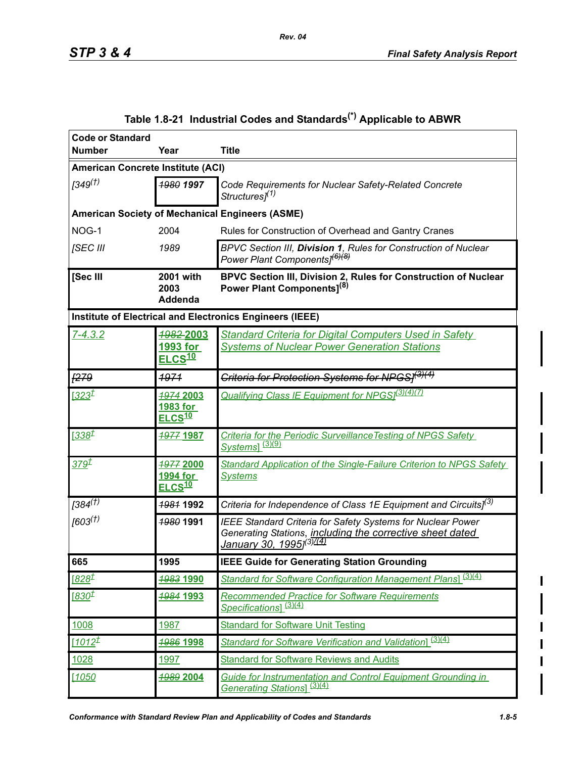<span id="page-4-0"></span>

| <b>Code or Standard</b>             |                                             |                                                                                                                                                                                |  |  |
|-------------------------------------|---------------------------------------------|--------------------------------------------------------------------------------------------------------------------------------------------------------------------------------|--|--|
| <b>Number</b>                       | Year                                        | <b>Title</b>                                                                                                                                                                   |  |  |
|                                     | <b>American Concrete Institute (ACI)</b>    |                                                                                                                                                                                |  |  |
| $1349^{(1)}$                        | 1980 1997                                   | Code Requirements for Nuclear Safety-Related Concrete<br>Structures] <sup>(1)</sup>                                                                                            |  |  |
|                                     |                                             | <b>American Society of Mechanical Engineers (ASME)</b>                                                                                                                         |  |  |
| NOG-1                               | 2004                                        | Rules for Construction of Overhead and Gantry Cranes                                                                                                                           |  |  |
| [SEC III                            | 1989                                        | BPVC Section III, Division 1, Rules for Construction of Nuclear<br>Power Plant Components] <sup>(6)(8)</sup>                                                                   |  |  |
| [Sec III                            | 2001 with<br>2003<br>Addenda                | BPVC Section III, Division 2, Rules for Construction of Nuclear<br>Power Plant Components <sup>[8]</sup>                                                                       |  |  |
|                                     |                                             | Institute of Electrical and Electronics Engineers (IEEE)                                                                                                                       |  |  |
| $7 - 4.3.2$                         | 1982-2003<br>1993 for<br>ELCS <sup>10</sup> | <b>Standard Criteria for Digital Computers Used in Safety</b><br><b>Systems of Nuclear Power Generation Stations</b>                                                           |  |  |
| <b>F279</b>                         | 1971                                        | <del>Criteria for Protection Systems for NPGS]<sup>(3)(4)</sup></del>                                                                                                          |  |  |
| $1323^{\underline{t}}$              | 1974 2003<br>1983 for<br>ELCS <sup>10</sup> | <b>Qualifying Class IE Equipment for NPGS</b> <sup>[3](4)(7)</sup>                                                                                                             |  |  |
| <u>[338<math>t</math></u>           | <b>1977 1987</b>                            | Criteria for the Periodic Surveillance Testing of NPGS Safety<br>Systems] <sup>(3)(9)</sup>                                                                                    |  |  |
| <u>379<sup>†</sup></u>              | 1977 2000<br>1994 for<br>ELCS <sup>10</sup> | <b>Standard Application of the Single-Failure Criterion to NPGS Safety</b><br><b>Systems</b>                                                                                   |  |  |
| $[384^{\overline{(1)}}]$            | 1981 1992                                   | Criteria for Independence of Class 1E Equipment and Circuits] <sup>(3)</sup>                                                                                                   |  |  |
| [603 <sup>(†)</sup> ]               | 1980 1991                                   | <b>IEEE Standard Criteria for Safety Systems for Nuclear Power</b><br>Generating Stations, including the corrective sheet dated<br>January 30, 1995] <sup>(3)<u>/(4)</u></sup> |  |  |
| 665                                 | 1995                                        | <b>IEEE Guide for Generating Station Grounding</b>                                                                                                                             |  |  |
| <u>[828<math>^{\tt I}</math></u>    | 1983 1990                                   | Standard for Software Configuration Management Plans1 (3)(4)                                                                                                                   |  |  |
| <u>[830<math>\mathcal{I}</math></u> | <b>1984 1993</b>                            | <b>Recommended Practice for Software Requirements</b><br>Specifications] <sup>(3)(4)</sup>                                                                                     |  |  |
| 1008                                | 1987                                        | <b>Standard for Software Unit Testing</b>                                                                                                                                      |  |  |
| $1012^{\underline{t}}$              | <b>1986 1998</b>                            | Standard for Software Verification and Validation (3)(4)                                                                                                                       |  |  |
| 1028                                | 1997                                        | <b>Standard for Software Reviews and Audits</b>                                                                                                                                |  |  |
| 1050                                | 1989 2004                                   | Guide for Instrumentation and Control Equipment Grounding in<br>Generating Stations] <sup>(3)(4)</sup>                                                                         |  |  |

# **Table 1.8-21 Industrial Codes and Standards(\*) Applicable to ABWR**

*Rev. 04*

 $\overline{\phantom{a}}$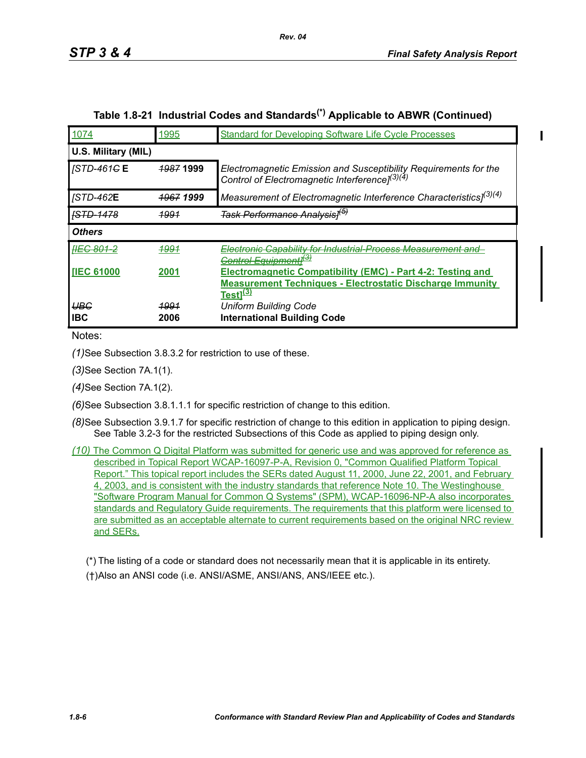| 1074                         | 1995                 | <b>Standard for Developing Software Life Cycle Processes</b>                                                                                                  |
|------------------------------|----------------------|---------------------------------------------------------------------------------------------------------------------------------------------------------------|
| U.S. Military (MIL)          |                      |                                                                                                                                                               |
| <i><b>STD-461GE</b></i>      | <del>1987</del> 1999 | Electromagnetic Emission and Susceptibility Requirements for the<br>Control of Electromagnetic Interference] <sup>(3)(4)</sup>                                |
| <b>JSTD-462E</b>             | <del>1967</del> 1999 | Measurement of Electromagnetic Interference Characteristics] <sup>(3)(4)</sup>                                                                                |
| <del>ISTD-1478</del>         | <u> 1991</u>         | <del>Task Performance Analysis]<sup>(b)</sup></del>                                                                                                           |
| <b>Others</b>                |                      |                                                                                                                                                               |
| <del> IEC 801-2</del>        | <b>1991</b>          | Electronic Capability for Industrial-Process Measurement and<br>Control Equipmentl <sup>ਦੇ</sup>                                                              |
| <b>IIEC 61000</b>            | 2001                 | <b>Electromagnetic Compatibility (EMC) - Part 4-2: Testing and</b><br><b>Measurement Techniques - Electrostatic Discharge Immunity</b><br>Testl <sup>33</sup> |
| <del>UBC</del><br><b>IBC</b> | <u> 1991</u><br>2006 | <b>Uniform Building Code</b><br><b>International Building Code</b>                                                                                            |

## **Table 1.8-21 Industrial Codes and Standards(\*) Applicable to ABWR (Continued)**

*Rev. 04*

Notes:

*(1)*See Subsection 3.8.3.2 for restriction to use of these.

*(3)*See Section 7A.1(1).

*(4)*See Section 7A.1(2).

*(6)*See Subsection 3.8.1.1.1 for specific restriction of change to this edition.

*(8)*See Subsection 3.9.1.7 for specific restriction of change to this edition in application to piping design. See Table 3.2-3 for the restricted Subsections of this Code as applied to piping design only.

*(10)* The Common Q Digital Platform was submitted for generic use and was approved for reference as described in Topical Report WCAP-16097-P-A, Revision 0, "Common Qualified Platform Topical Report." This topical report includes the SERs dated August 11, 2000, June 22, 2001, and February 4, 2003, and is consistent with the industry standards that reference Note 10. The Westinghouse "Software Program Manual for Common Q Systems" (SPM), WCAP-16096-NP-A also incorporates standards and Regulatory Guide requirements. The requirements that this platform were licensed to are submitted as an acceptable alternate to current requirements based on the original NRC review and SERs.

(\*) The listing of a code or standard does not necessarily mean that it is applicable in its entirety. (†)Also an ANSI code (i.e. ANSI/ASME, ANSI/ANS, ANS/IEEE etc.).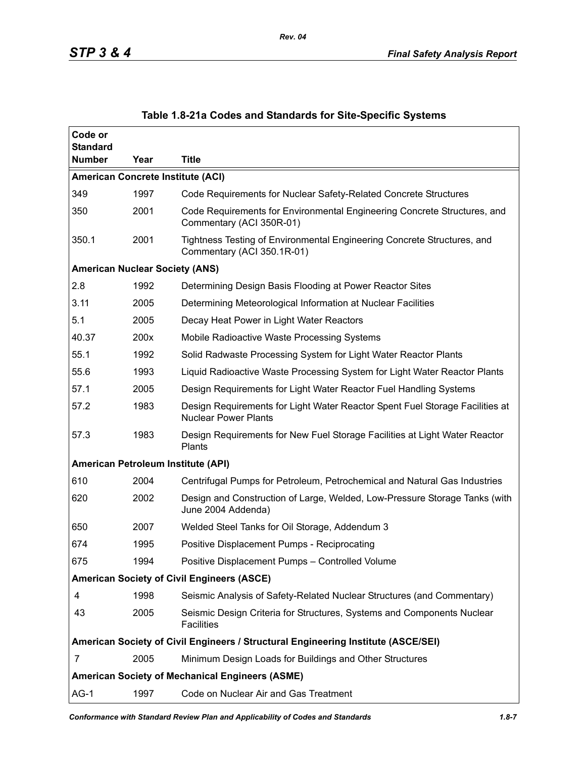| Code or<br><b>Standard</b>                             |      |                                                                                                             |  |  |
|--------------------------------------------------------|------|-------------------------------------------------------------------------------------------------------------|--|--|
| <b>Number</b>                                          | Year | <b>Title</b>                                                                                                |  |  |
| <b>American Concrete Institute (ACI)</b>               |      |                                                                                                             |  |  |
| 349                                                    | 1997 | Code Requirements for Nuclear Safety-Related Concrete Structures                                            |  |  |
| 350                                                    | 2001 | Code Requirements for Environmental Engineering Concrete Structures, and<br>Commentary (ACI 350R-01)        |  |  |
| 350.1                                                  | 2001 | Tightness Testing of Environmental Engineering Concrete Structures, and<br>Commentary (ACI 350.1R-01)       |  |  |
| <b>American Nuclear Society (ANS)</b>                  |      |                                                                                                             |  |  |
| 2.8                                                    | 1992 | Determining Design Basis Flooding at Power Reactor Sites                                                    |  |  |
| 3.11                                                   | 2005 | Determining Meteorological Information at Nuclear Facilities                                                |  |  |
| 5.1                                                    | 2005 | Decay Heat Power in Light Water Reactors                                                                    |  |  |
| 40.37                                                  | 200x | Mobile Radioactive Waste Processing Systems                                                                 |  |  |
| 55.1                                                   | 1992 | Solid Radwaste Processing System for Light Water Reactor Plants                                             |  |  |
| 55.6                                                   | 1993 | Liquid Radioactive Waste Processing System for Light Water Reactor Plants                                   |  |  |
| 57.1                                                   | 2005 | Design Requirements for Light Water Reactor Fuel Handling Systems                                           |  |  |
| 57.2                                                   | 1983 | Design Requirements for Light Water Reactor Spent Fuel Storage Facilities at<br><b>Nuclear Power Plants</b> |  |  |
| 57.3                                                   | 1983 | Design Requirements for New Fuel Storage Facilities at Light Water Reactor<br>Plants                        |  |  |
| American Petroleum Institute (API)                     |      |                                                                                                             |  |  |
| 610                                                    | 2004 | Centrifugal Pumps for Petroleum, Petrochemical and Natural Gas Industries                                   |  |  |
| 620                                                    | 2002 | Design and Construction of Large, Welded, Low-Pressure Storage Tanks (with<br>June 2004 Addenda)            |  |  |
| 650                                                    | 2007 | Welded Steel Tanks for Oil Storage, Addendum 3                                                              |  |  |
| 674                                                    | 1995 | Positive Displacement Pumps - Reciprocating                                                                 |  |  |
| 675                                                    | 1994 | Positive Displacement Pumps - Controlled Volume                                                             |  |  |
| <b>American Society of Civil Engineers (ASCE)</b>      |      |                                                                                                             |  |  |
| 4                                                      | 1998 | Seismic Analysis of Safety-Related Nuclear Structures (and Commentary)                                      |  |  |
| 43                                                     | 2005 | Seismic Design Criteria for Structures, Systems and Components Nuclear<br><b>Facilities</b>                 |  |  |
|                                                        |      | American Society of Civil Engineers / Structural Engineering Institute (ASCE/SEI)                           |  |  |
| 7                                                      | 2005 | Minimum Design Loads for Buildings and Other Structures                                                     |  |  |
| <b>American Society of Mechanical Engineers (ASME)</b> |      |                                                                                                             |  |  |
| $AG-1$                                                 | 1997 | Code on Nuclear Air and Gas Treatment                                                                       |  |  |

### **Table 1.8-21a Codes and Standards for Site-Specific Systems**

*Rev. 04*